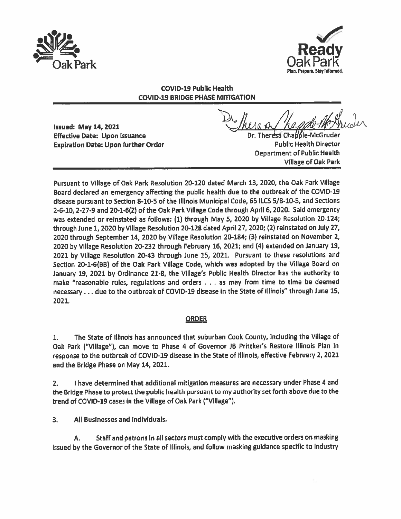



## COVID-19 Public Health COVID-19 BRIDGE PHASE MITIGATION

Issued: May 14, 2021 Effective Date: Upon Issuance Dr. Ther Cha6le-McGruder Expiration Date: Upon further Order **Public Health Director** Public Health Director

Department of Public Health Village of Oak Park

Pursuant to Village of Oak Park Resolution 20-120 dated March 13, 2020, the Oak Park Village Board declared an emergency affecting the public health due to the outbreak of the COVID-19 disease pursuan<sup>t</sup> to Section 8-10-5 of the Illinois Municipal Code, <sup>65</sup> ILCS 5/8-10-5, and Sections 2-6-10, 2-27-9 and 20-1-6(Z) of the Oak Park Village Code through April 6,2020. Said emergency was extended or reinstated as follows: (1) through May 5, <sup>2020</sup> by Village Resolution 20-124; through June 1, <sup>2020</sup> by Village Resolution 20-128 dated April 27, 2020; (2) reinstated on July 27, <sup>2020</sup> through September 14, <sup>2020</sup> by Village Resolution 20-184; (3) reinstated on November 2, <sup>2020</sup> by Village Resolution 20-232 through February 16, 2021; and (4) extended on January 19, <sup>2021</sup> by Village Resolution 20-43 through June 15, 2021. Pursuant to these resolutions and Section 20-1-6(BB) of the Oak Park Village Code, which was adopted by the Village Board on January 19, <sup>2021</sup> by Ordinance 21-8, the Village's Public Health Director has the authority to make "reasonable rules, regulations and orders . . . as may from time to time be deemed necessary . -. due to the outbreak of COVID-19 disease in the State of Illinois" through June 15, 2021.

# **ORDER**

1. The State of Illinois has announced that suburban Cook County, Including the Village of Oak Park ("Village"), can move to Phase <sup>4</sup> of Governor JB Pritzker's Restore Illinois Plan in response to the outbreak of COVID-19 disease in the State of Illinois, effective February 2, <sup>2021</sup> and the Bridge Phase on May 14, 2021.

2. <sup>I</sup> have determined that additional mitigation measures are necessary under Phase <sup>4</sup> and the Bridge Phase to protect the public health pursuan<sup>t</sup> to my authority set forth above due to the trend of COVID-19 cases in the Village of Oak Park ("Village").

3. All Businesses and Individuals.

A. Staff and patrons In all sectors must comply with the executive orders on masking issued by the Governor of the State of Illinois, and follow masking guidance specific to industry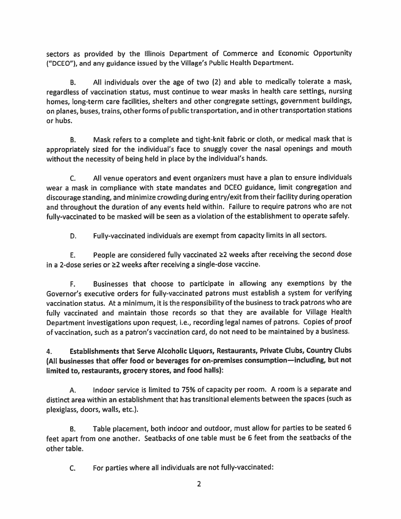sectors as provided by the Illinois Department of Commerce and Economic Opportunity ("DCEO"), and any guidance issued by the Village's Public Health Department.

B. All individuals over the age of two (2) and able to medically tolerate <sup>a</sup> mask, regardless of vaccination status, must continue to wear masks in health care settings, nursing homes, long-term care facilities, shelters and other congregate settings, governmen<sup>t</sup> buildings, on <sup>p</sup>lanes, buses, trains, other forms of public transportation, and in other transportation stations or hubs.

B. Mask refers to <sup>a</sup> complete and tight-knit fabric or cloth, or medical mask that is appropriately sized for the individual's face to snuggly cover the nasal openings and mouth without the necessity of being held in <sup>p</sup>lace by the individual's hands.

C. All venue operators and event organizers must have <sup>a</sup> <sup>p</sup>lan to ensure individuals wear <sup>a</sup> mask in compliance with state mandates and DCEO guidance, limit congregation and discourage standing, and minimize crowding during entry/exit from their facility during operation and throughout the duration of any events held within. Failure to require patrons who are not fully-vaccinated to be masked will be seen as <sup>a</sup> violation of the establishment to operate safely.

D. Fuily-vaccinated individuals are exemp<sup>t</sup> from capacity limits in all sectors.

E. People are considered fully vaccinated  $\geq 2$  weeks after receiving the second dose in a 2-dose series or  $\geq 2$  weeks after receiving a single-dose vaccine.

F. Businesses that choose to participate in allowing any exemptions by the Governor's executive orders for fully-vaccinated patrons must establish <sup>a</sup> system for verifying vaccination status. At <sup>a</sup> minimum, it is the responsibility of the business to track patrons who are fully vaccinated and maintain those records so that they are available for Village Health Department investigations upon request, i.e., recording legal names of patrons. Copies of proo<sup>f</sup> of vaccination, such as <sup>a</sup> patron's vaccination card, do not need to be maintained by <sup>a</sup> business.

# 4. Establishments that Serve Alcoholic Liquors, Restaurants, Private Clubs, Country Clubs (All businesses that offer food or beverages for on-premises consumption—including, but not limited to, restaurants, grocery stores, and food halls):

A. Indoor service is limited to 75% of capacity per room. <sup>A</sup> room is <sup>a</sup> separate and distinct area within an establishment that has transitional elements between the spaces (such as plexiglass, doors, walls, etc.).

B. Table placement, both indoor and outdoor, must allow for parties to be seated 6 feet apar<sup>t</sup> from one another. Seatbacks of one table must be <sup>6</sup> feet from the seatbacks of the other table.

C. For parties where all individuals are not fully-vaccinated: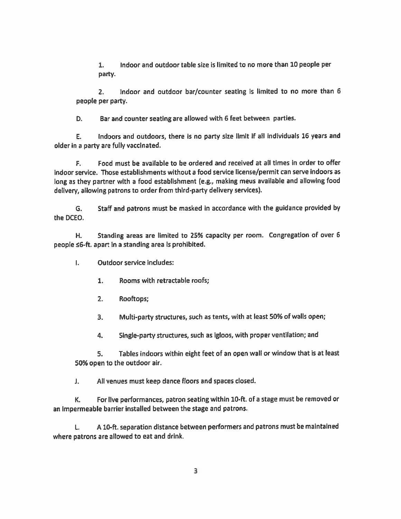1. Indoor and outdoor table size is limited to no more than 10 people per party.

2. Indoor and outdoor bar/counter seating is limited to no more than <sup>6</sup> people per party.

D. Bar and counter seating are allowed with 6 feet between parties.

E. Indoors and outdoors, there is no party size limit if all individuals 16 years and older in <sup>a</sup> party are fully vaccinated.

F. Food must be available to be ordered and received at all times in order to offer indoor service. Those establishments without <sup>a</sup> food service license/permit can serve indoors as long as they partner with <sup>a</sup> food establishment (e.g., making meus available and allowing food delivery, allowing patrons to order from third-party delivery services).

G. Staff and patrons must be masked in accordance with the guidance provided by the DCEO.

H. Standing areas are limited to 25% capacity per room. Congregation of over <sup>6</sup> people 6-ft. apar<sup>t</sup> In <sup>a</sup> standing area is prohibited.

 $\mathbf{L}$ Outdoor service includes:

- 1. Rooms with retractable roofs;
- 2. Rooftops;
- 3. Multi-party structures, such as tents, with at least 50% of walls open;
- 4. SIngle-party structures, such as igloos, with proper ventilation; and

5. Tables indoors within eight feet of an open wall or window that is at least 50% open to the outdoor air.

J. All venues must keep dance floors and spaces closed.

K. For live performances, patron seating within 10-ft. of <sup>a</sup> stage must be removed or an impermeable barrier installed between the stage and patrons.

L. <sup>A</sup> 10-ft. separation distance between performers and patrons must be maintained where patrons are allowed to eat and drink.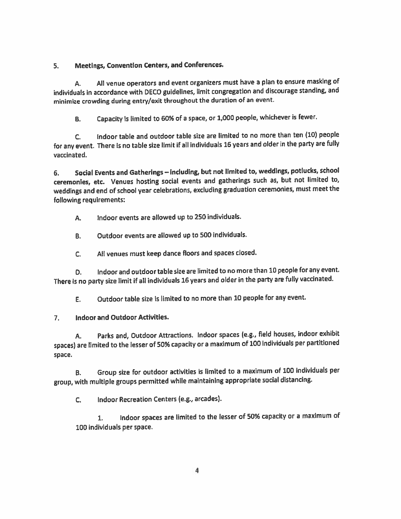## 5. Meetings, Convention Centers, and Conferences.

A. All venue operators and event organizers must have <sup>a</sup> <sup>p</sup>lan to ensure masking of individuals in accordance with DECO guidelines, limit congregation and discourage standing, and minimize crowding during entry/exit throughout the duration of an event.

B. Capacity is limited to 60% of <sup>a</sup> space, or 1,000 people, whichever is fewer.

C. Indoor table and outdoor table size are limited to no more than ten (10) people for any event. There is no table size limit if all individuals <sup>16</sup> years and older in the party are fully vaccinated.

6. Social Events and Gatherings — Including, but not limited to, weddings, potlucks, school ceremonies, etc. Venues hosting social events and gatherings such as, but not limited to, weddings and end of school year celebrations, excluding graduation ceremonies, must meet the following requIrements:

A. Indoor events are allowed up to 250 individuals.

B. Outdoor events are allowed up to 500 individuals.

C. All venues must keep dance floors and spaces closed.

0, Indoor and outdoortable size are limited to no more than <sup>10</sup> people for any event. There is no party size limit if all individuals <sup>16</sup> years and older in the party are fully vaccinated.

F. Outdoor table size is limited to no more than 10 people for any event.

7. Indoor and Outdoor Activities.

A. Parks and, Outdoor Attractions. Indoor spaces (e.g., field houses, indoor exhibit spaces) are limited to the lesser of 50% capacity or <sup>a</sup> maximum of <sup>100</sup> individuals per partitioned space.

B. Group size for outdoor activities is limited to <sup>a</sup> maximum of <sup>100</sup> individuals per group, with multiple groups permitted while maintaining appropriate social distancing.

C. Indoor Recreation Centers (e.g., arcades).

1. Indoor spaces are limited to the lesser of 50% capacity or a maximum of 100 individuals per space.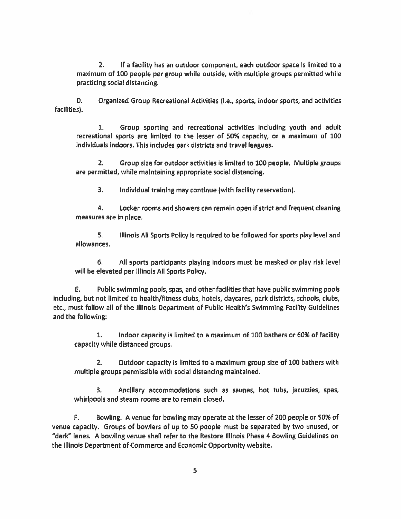2. If a facility has an outdoor component, each outdoor space is limited to a maximum of 100 people per group while outside, with multiple groups permitted while practicing social distancing.

0. Organized Group Recreational Activities (i.e., sports, Indoor sports, and activities facilities).

1. Group sporting and recreational activities including youth and adult recreational sports are limited to the lesser of 50% capacity, or <sup>a</sup> maximum of 100 Individuals indoors. This includes park districts and travel leagues.

2. Group size for outdoor activities is limited to 100 people. Multiple groups are permitted, while maintaining appropriate social distancing.

3. Individual training may continue (with facility reservation).

4. Locker rooms and showers can remain open If strict and frequent cleaning measures are in place.

5. IllInois All Sports Policy is required to be followed for sports play level and allowances.

6. All sports participants playing indoors must be masked or play risk level will be elevated per Illinois All Sports Policy.

E. Public swimming pools, spas, and other facilities that have public swimming pools including, but not limited to health/fitness clubs, hotels, daycares, park districts, schools, clubs, etc., must follow all of the Illinois Department of Public Health's Swimming Facility Guidelines and the following:

1. Indoor capacity is limited to <sup>a</sup> maximum of 100 bathers or 60% of facility capacity while distanced groups.

2. Outdoor capacity is limited to a maximum group size of 100 bathers with multiple groups permissible with social distancing maintained.

3. Ancillary accommodations such as saunas, hot tubs, jacuzzies, spas, whirlpools and steam rooms are to remain closed.

F. Bowling. A venue for bowling may operate at the lesser of 200 people or 50% of venue capacity. Groups of bowlers of up to 50 people must be separated by two unused, or "dark" lanes. A bowling venue shall refer to the Restore Illinois Phase 4 Bowling Guidelines on the Illinois Department of Commerce and Economic Opportunity website.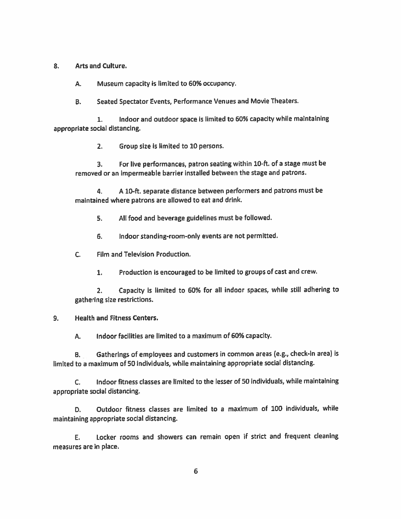#### 2. Arts and Culture.

A. Museum capacity is limited to 60% occupancy.

8. Seated Spectator Events, Performance Venues and Movie Theaters.

1. Indoor and outdoor space is limited to 60% capacity while maintaining appropriate social distancing.

2. Group size is limited to 10 persons.

3. For live performances, patron seating within 10-ft. of <sup>a</sup> stage must be removed or an impermeable barrier installed between the stage and patrons.

4. <sup>A</sup> 10-ft. separate distance between performers and patrons must be maintained where patrons are allowed to eat and drink.

5. All food and beverage guidelines must be followed.

6. Indoor standing-room-only events are not permitted.

- C. Film and Television Production.
	- 1. Production is encouraged to be limited to groups of cast and crew.

2. Capacity is limited to 60% for all indoor spaces, while still adhering to gathering size restrictions.

#### 9. Health and Fitness Centers.

A. Indoor facilities are limited to <sup>a</sup> maximum of 60% capacity.

8. Gatherings of employees and customers in common areas (e.g., check-in area) is limited to <sup>a</sup> maximum of 50 individuals, while maintaining appropriate social distancing.

C. Indoor fitness classes are limited to the lesser of 50 individuals, while maintaining appropriate social distancing.

D. Outdoor fitness classes are limited to <sup>a</sup> maximum of 100 individuals, while maintaining appropriate social distancing.

E. Locker rooms and showers can remain open if strict and frequent cleaning measures are in place.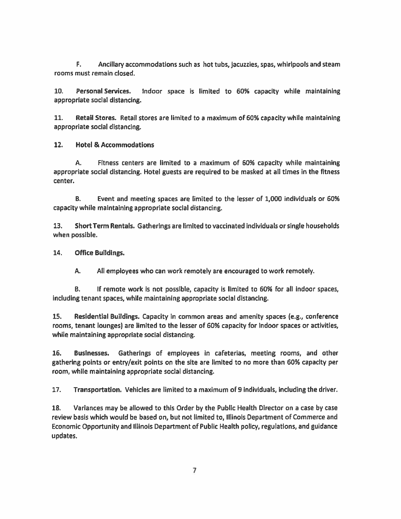F. Ancillary accommodations such as hot tubs, jacuzzies, spas, whirlpools and steam rooms must remain closed.

10. Personal Services. Indoor space is limited to 60% capacIty while maintaining appropriate social distancing.

11. Retail Stores. Retail stores are limited to <sup>a</sup> maximum of 60% capacity while maintaining appropriate social distancing.

12. Hotel & Accommodations

A. Fitness centers are limited to <sup>a</sup> maximum of 60% capacity while maintaining appropriate social distancing. Hotel guests are required to be masked at all times in the fitness center.

B. Event and meeting spaces are limited to the lesser of 1,000 individuals or 60% capacity while maintaining appropriate social distancing.

13. Short Term Rentals. Gatherings are limited to vaccinated individuals or single households when possible.

14. Office Buildings.

A. All employees who can work remoteiy are encouraged to work remotely.

B. If remote work Is not possible, capacity is limited to 60% for all indoor spaces, including tenant spaces, while maintaining appropriate social distancing.

15. Residential Buildings. Capacity in common areas and amenity spaces (e.g., conference rooms, tenant lounges) are limited to the lesser of 60% capacity for indoor spaces or activities, while maintaining appropriate social distancing.

16. Businesses. Gatherings of employees in cafeterias, meeting rooms, and other gathering points or entry/exit points on the site are limited to no more than 60% capacIty per room, while maintaining appropriate social distancing.

17. Transportation. Vehicles are limited to <sup>a</sup> maximum of 9 IndivIduals, including the driver.

18. Variances may be allowed to this Order by the Public Health Director on <sup>a</sup> case by case review basis which would be based on, but not limited to, Illinois Department of Commerce and Economic Opportunity and Illinois Department of Public Health policy, regulations, and guidance updates.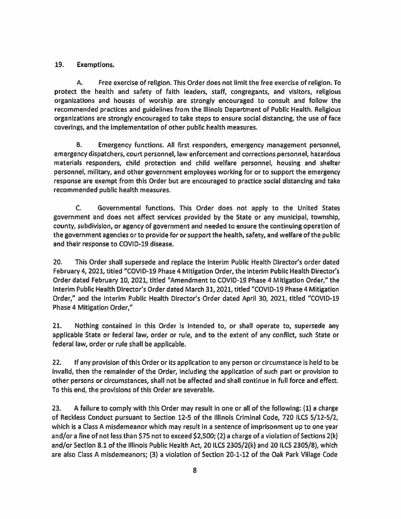### 19. Exemptions.

A. Free exercise of religion. This Order does not limit the free exercise of religion. To protect the health and safety of faith leaders, staff, congregants, and visitors, religious organizations and houses of worship are strongly encouraged to consult and follow the recommended practices and guidelines from the Illinois Department of Public Health. Religious organizations are strongly encouraged to take steps to ensure social distancing, the use of face coverings, and the implementation of other public health measures.

B. Emergency functions. All first responders, emergency managemen<sup>t</sup> personnel, emergency dispatchers, court personnel, law enforcement and corrections personnel, hazardous materials responders, child protection and child welfare personnel, housing and shelter personnel, military, and other governmen<sup>t</sup> employees working for or to suppor<sup>t</sup> the emergency response are exemp<sup>t</sup> from this Order but are encouraged to practice social distancing and take recommended public health measures.

C. Governmental functions. This Order does not apply to the United States governmen<sup>t</sup> and does not affect services provided by the State or any municipal, township, county, subdivision, or agency of governmen<sup>t</sup> and needed to ensure the continuing operation of the governmen<sup>t</sup> agencies or to provide for or suppor<sup>t</sup> the health, safety, and welfare of the public and their response to COVID-19 disease.

20. This Order shall supersede and replace the Interim Public Health Director's order dated February 4,2021, titled "COVID-19 Phase 4 Mitigation Order, the Interim Public Health Director's Order dated February 10, 2021, titled "Amendment to COVID-19 Phase 4 Mitigation Order," the Interim Public Health Director's Order dated March 31, 2021, titled "COVID-19 Phase 4 Mitigation Order," and the Interim Public Health Director's Order dated April 30, 2021, titled "COVID-19 Phase 4 Mitigation Order,"

21. Nothing contained in this Order is intended to, or shall operate to, supersede any applicable State or federal law, order or rule, and to the extent of any conflict, such State or federal law, order or rule shall be applicable.

22. If any provision of this Order or Its application to any person or circumstance is held to be invalid, then the remainder of the Order, including the application of such par<sup>t</sup> or provision to other persons or circumstances, shall not be affected and shall continue in full force and effect. To this end, the provisions of this Order are severable.

23. A failure to comply with this Order may result in one or all of the following: (1) <sup>a</sup> charge of Reckless Conduct pursuant to Section 12-5 of the Illinois Criminal Code, 720 ILCS 5/12-5/2, which is <sup>a</sup> Class A misdemeanor which may result in <sup>a</sup> sentence of imprisonment up to one year and/or <sup>a</sup> fine of not less than \$75 not to exceed \$2,500; (2) <sup>a</sup> charge of <sup>a</sup> violation of Sections 2(k) and/or Section 8.1 of the Illinois Public Health Act, 20 llCS 2305/2(k) and 20 ILCS 2305/8), which are also Class <sup>A</sup> misdemeanors; (3) <sup>a</sup> violation of Section 20-1-12 of the Oak Park Village Code